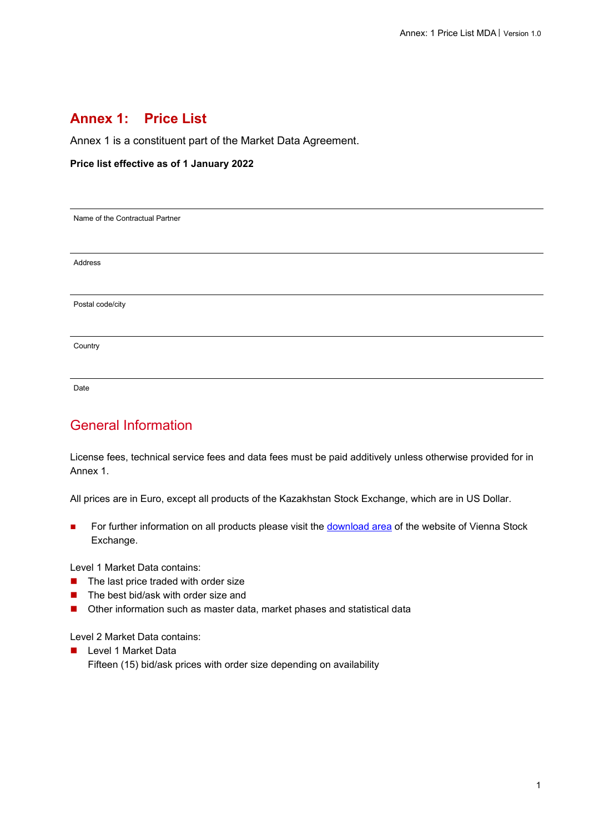## **Annex 1: Price List**

Annex 1 is a constituent part of the Market Data Agreement.

#### **Price list effective as of 1 January 2022**

Name of the Contractual Partner

Address

Postal code/city

**Country** 

Date

## General Information

License fees, technical service fees and data fees must be paid additively unless otherwise provided for in Annex 1.

All prices are in Euro, except all products of the Kazakhstan Stock Exchange, which are in US Dollar.

For further information on all products please visit the **download area** of the website of Vienna Stock Exchange.

Level 1 Market Data contains:

- $\blacksquare$  The last price traded with order size
- $\blacksquare$  The best bid/ask with order size and
- Other information such as master data, market phases and statistical data

Level 2 Market Data contains:

**Level 1 Market Data** Fifteen (15) bid/ask prices with order size depending on availability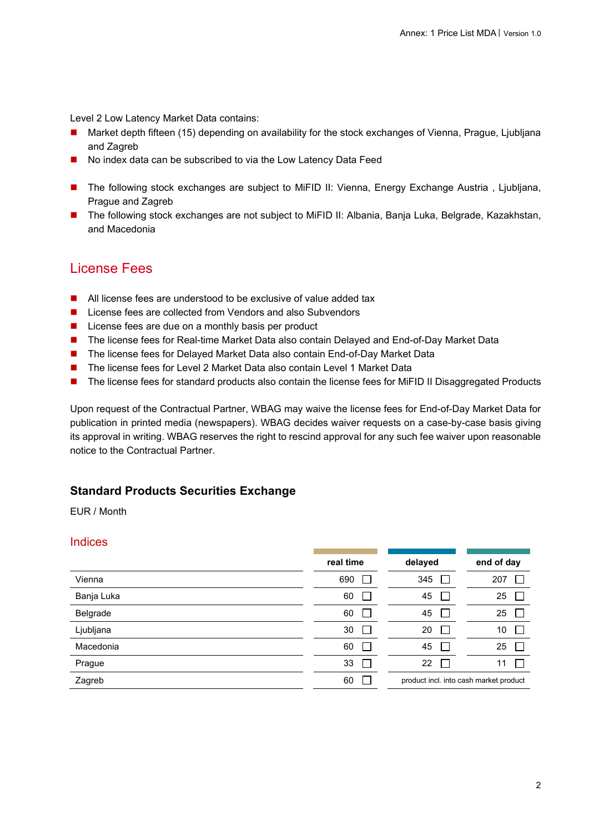Level 2 Low Latency Market Data contains:

- Market depth fifteen (15) depending on availability for the stock exchanges of Vienna, Prague, Ljubljana and Zagreb
- No index data can be subscribed to via the Low Latency Data Feed
- The following stock exchanges are subject to MiFID II: Vienna, Energy Exchange Austria, Ljubljana, Prague and Zagreb
- The following stock exchanges are not subject to MiFID II: Albania, Banja Luka, Belgrade, Kazakhstan, and Macedonia

## License Fees

- All license fees are understood to be exclusive of value added tax
- License fees are collected from Vendors and also Subvendors
- $\blacksquare$  License fees are due on a monthly basis per product
- The license fees for Real-time Market Data also contain Delayed and End-of-Day Market Data
- The license fees for Delayed Market Data also contain End-of-Day Market Data
- The license fees for Level 2 Market Data also contain Level 1 Market Data
- The license fees for standard products also contain the license fees for MiFID II Disaggregated Products

Upon request of the Contractual Partner, WBAG may waive the license fees for End-of-Day Market Data for publication in printed media (newspapers). WBAG decides waiver requests on a case-by-case basis giving its approval in writing. WBAG reserves the right to rescind approval for any such fee waiver upon reasonable notice to the Contractual Partner.

### **Standard Products Securities Exchange**

EUR / Month

#### Indices

|            | real time          | delayed                                | end of day |
|------------|--------------------|----------------------------------------|------------|
| Vienna     | 690                | 345                                    | 207        |
| Banja Luka | 60                 | 45                                     | 25         |
| Belgrade   | 60                 | 45                                     | 25         |
| Ljubljana  | 30<br>$\mathbf{L}$ | 20                                     | 10         |
| Macedonia  | 60                 | 45                                     | 25         |
| Prague     | 33                 | 22                                     | 11         |
| Zagreb     | 60                 | product incl. into cash market product |            |
|            |                    |                                        |            |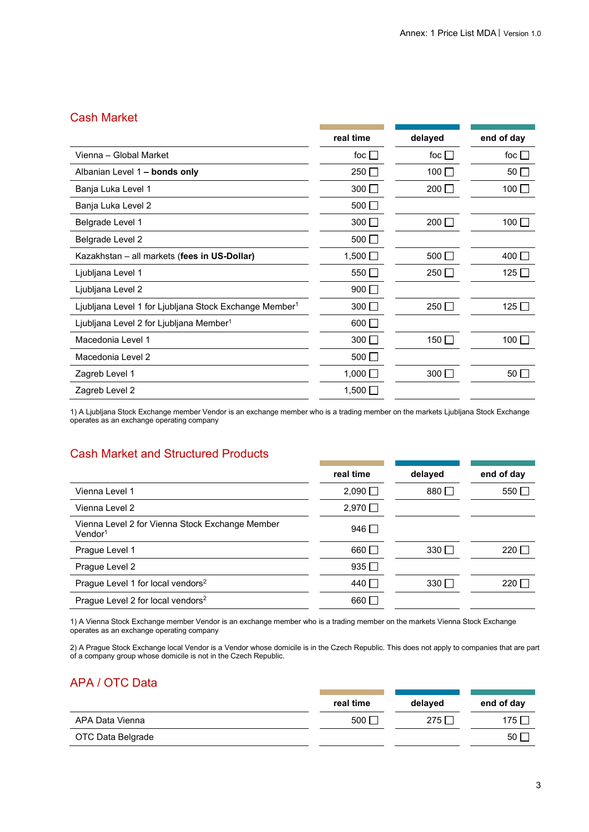### Cash Market

|                                                                    | real time      | delayed       | end of day   |
|--------------------------------------------------------------------|----------------|---------------|--------------|
| Vienna – Global Market                                             | foc $\Box$     | foc $\Box$    | foc $\Box$   |
| Albanian Level 1 - bonds only                                      | 250 $\Box$     | 100 $\Box$    | 50 $\Box$    |
| Banja Luka Level 1                                                 | $300$ $\Box$   | 200 $\square$ | 100 $\Box$   |
| Banja Luka Level 2                                                 | 500 $\Box$     |               |              |
| Belgrade Level 1                                                   | $300$ $\Box$   | 200 $\square$ | 100 $\Box$   |
| Belgrade Level 2                                                   | 500 $\Box$     |               |              |
| Kazakhstan - all markets (fees in US-Dollar)                       | $1,500$ $\Box$ | 500 $\Box$    | 400 $\Box$   |
| Ljubljana Level 1                                                  | 550 $\Box$     | 250 $\square$ | $125$ $\Box$ |
| Ljubljana Level 2                                                  | 900 $\Box$     |               |              |
| Ljubljana Level 1 for Ljubljana Stock Exchange Member <sup>1</sup> | $300$ $\Box$   | 250           | 125 $\Box$   |
| Ljubljana Level 2 for Ljubljana Member <sup>1</sup>                | $600$ $\Box$   |               |              |
| Macedonia Level 1                                                  | $300$ $\Box$   | 150 $\Box$    | 100 $\Box$   |
| Macedonia Level 2                                                  | 500 $\Box$     |               |              |
| Zagreb Level 1                                                     | $1,000$ $\Box$ | $300$ $\Box$  | $50\Box$     |
| Zagreb Level 2                                                     | 1,500 $\Box$   |               |              |

1) A Ljubljana Stock Exchange member Vendor is an exchange member who is a trading member on the markets Ljubljana Stock Exchange operates as an exchange operating company

## Cash Market and Structured Products

|                                                                           | real time      | delayed   | end of day    |
|---------------------------------------------------------------------------|----------------|-----------|---------------|
| Vienna Level 1                                                            | $2,090$ $\Box$ | $880\Box$ | 550 $\square$ |
| Vienna Level 2                                                            | $2,970$ $\Box$ |           |               |
| Vienna Level 2 for Vienna Stock Exchange Member<br>$V$ endor <sup>1</sup> | 946 $\Box$     |           |               |
| Prague Level 1                                                            | $660\Box$      | $330\Box$ | 220 $\Box$    |
| Prague Level 2                                                            | $935$ $\Box$   |           |               |
| Prague Level 1 for local vendors <sup>2</sup>                             | 440 ∏          | $330\Box$ | 220 $\Box$    |
| Prague Level 2 for local vendors <sup>2</sup>                             | $660$ $\Box$   |           |               |

1) A Vienna Stock Exchange member Vendor is an exchange member who is a trading member on the markets Vienna Stock Exchange operates as an exchange operating company

2) A Prague Stock Exchange local Vendor is a Vendor whose domicile is in the Czech Republic. This does not apply to companies that are part of a company group whose domicile is not in the Czech Republic.

## APA / OTC Data

|                   | real time | delayed | end of day       |
|-------------------|-----------|---------|------------------|
| APA Data Vienna   | 500       | 275 F   | 175 <sub>1</sub> |
| OTC Data Belgrade |           |         | 50 <sub>1</sub>  |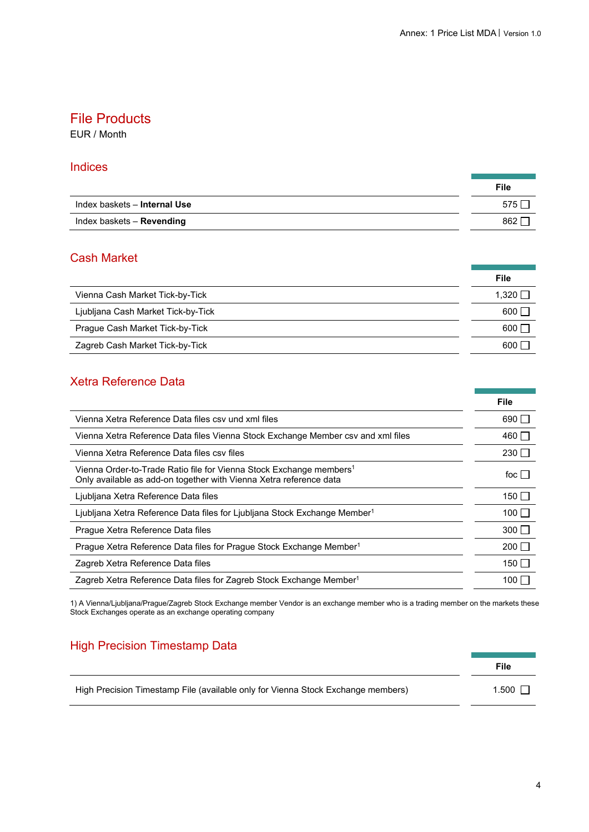### File Products

EUR / Month

#### **Indices**

|                              | File |
|------------------------------|------|
| Index baskets - Internal Use | 575  |
| Index baskets - Revending    | 862  |

### Cash Market

|                                    | File         |
|------------------------------------|--------------|
| Vienna Cash Market Tick-by-Tick    | 1.320 $\Box$ |
| Ljubljana Cash Market Tick-by-Tick | 600 I        |
| Prague Cash Market Tick-by-Tick    | 600 <b>F</b> |
| Zagreb Cash Market Tick-by-Tick    | 600 l        |

### Xetra Reference Data

|                                                                                                                                                       | File         |
|-------------------------------------------------------------------------------------------------------------------------------------------------------|--------------|
| Vienna Xetra Reference Data files csy und xml files                                                                                                   | $690\Box$    |
| Vienna Xetra Reference Data files Vienna Stock Exchange Member csv and xml files                                                                      | 460 $\Box$   |
| Vienna Xetra Reference Data files csy files                                                                                                           | $230\Box$    |
| Vienna Order-to-Trade Ratio file for Vienna Stock Exchange members <sup>1</sup><br>Only available as add-on together with Vienna Xetra reference data | foc I        |
| Ljubljana Xetra Reference Data files                                                                                                                  | 150 $\Box$   |
| Ljubljana Xetra Reference Data files for Ljubljana Stock Exchange Member <sup>1</sup>                                                                 | $100$ $\Box$ |
| Praque Xetra Reference Data files                                                                                                                     | $300\Box$    |
| Prague Xetra Reference Data files for Prague Stock Exchange Member <sup>1</sup>                                                                       | $200\Box$    |
| Zagreb Xetra Reference Data files                                                                                                                     | 150 L        |
| Zagreb Xetra Reference Data files for Zagreb Stock Exchange Member <sup>1</sup>                                                                       | 100          |

1) A Vienna/Ljubljana/Prague/Zagreb Stock Exchange member Vendor is an exchange member who is a trading member on the markets these Stock Exchanges operate as an exchange operating company

## **High Precision Timestamp Data**

|                                                                                  | File    |
|----------------------------------------------------------------------------------|---------|
| High Precision Timestamp File (available only for Vienna Stock Exchange members) | $1.500$ |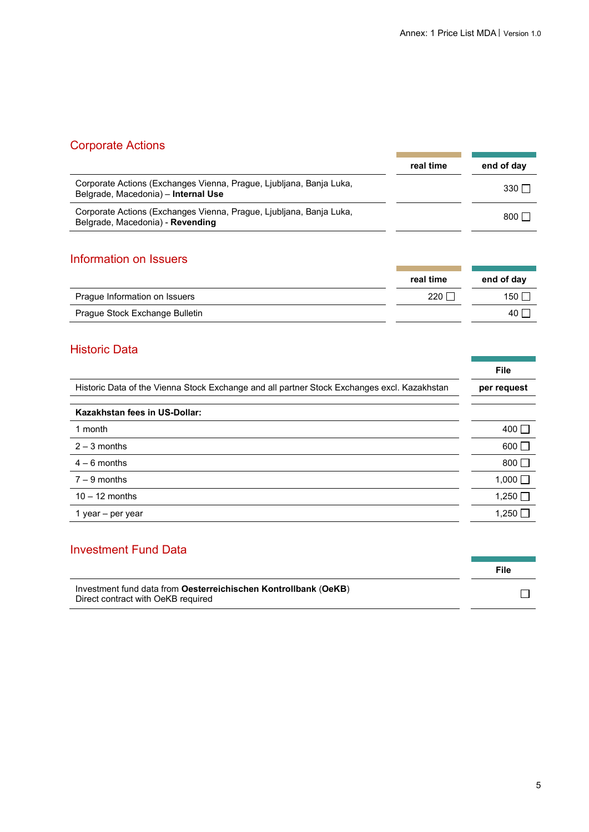and the company of the company

m.

## Corporate Actions

| $\sim$                                                                                                     |           |              |
|------------------------------------------------------------------------------------------------------------|-----------|--------------|
|                                                                                                            | real time | end of day   |
| Corporate Actions (Exchanges Vienna, Prague, Ljubljana, Banja Luka,<br>Belgrade, Macedonia) - Internal Use |           | $330$ $\Box$ |
| Corporate Actions (Exchanges Vienna, Prague, Ljubljana, Banja Luka,<br>Belgrade, Macedonia) - Revending    |           | 800 $\Box$   |

## Information on Issuers

|                                | real time | end of day |
|--------------------------------|-----------|------------|
| Prague Information on Issuers  | 220 l     | 150        |
| Prague Stock Exchange Bulletin |           | 40         |

### Historic Data

|                                                                                             | File         |
|---------------------------------------------------------------------------------------------|--------------|
| Historic Data of the Vienna Stock Exchange and all partner Stock Exchanges excl. Kazakhstan | per request  |
| Kazakhstan fees in US-Dollar:                                                               |              |
| 1 month                                                                                     | 400 $\Box$   |
| $2 - 3$ months                                                                              | $600\Box$    |
| $4 - 6$ months                                                                              | 800 $\Box$   |
| $7 - 9$ months                                                                              | 1,000 $\Box$ |
| $10 - 12$ months                                                                            | 1,250 $\Box$ |
| 1 year – per year                                                                           | 1,250        |
|                                                                                             |              |

| <b>Investment Fund Data</b>                                                                           |      |
|-------------------------------------------------------------------------------------------------------|------|
|                                                                                                       | File |
| Investment fund data from Oesterreichischen Kontrollbank (OeKB)<br>Direct contract with OeKB required |      |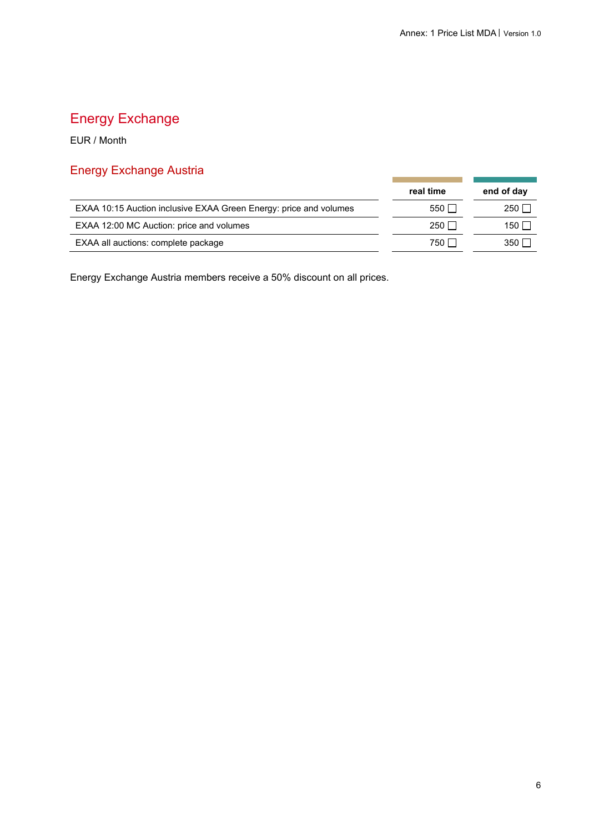r. ÷.

# Energy Exchange

EUR / Month

# Energy Exchange Austria

|                                                                   | real time            | end of day       |
|-------------------------------------------------------------------|----------------------|------------------|
| EXAA 10:15 Auction inclusive EXAA Green Energy: price and volumes | 550                  | 250 l            |
| EXAA 12:00 MC Auction: price and volumes                          | $250$ $\overline{ }$ | 150 I            |
| EXAA all auctions: complete package                               | 750 l                | 350 <sub>1</sub> |

Energy Exchange Austria members receive a 50% discount on all prices.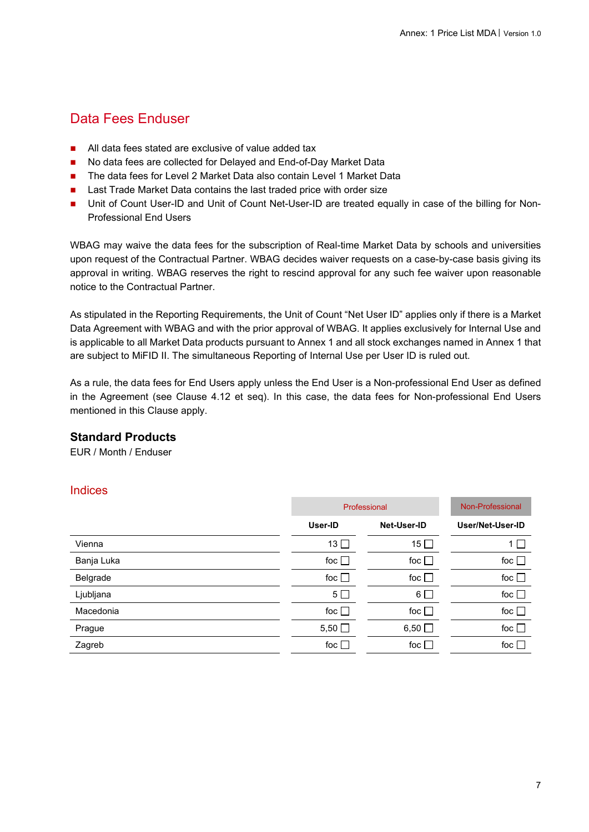## Data Fees Enduser

- All data fees stated are exclusive of value added tax
- No data fees are collected for Delayed and End-of-Day Market Data
- The data fees for Level 2 Market Data also contain Level 1 Market Data
- Last Trade Market Data contains the last traded price with order size
- Unit of Count User-ID and Unit of Count Net-User-ID are treated equally in case of the billing for Non-Professional End Users

WBAG may waive the data fees for the subscription of Real-time Market Data by schools and universities upon request of the Contractual Partner. WBAG decides waiver requests on a case-by-case basis giving its approval in writing. WBAG reserves the right to rescind approval for any such fee waiver upon reasonable notice to the Contractual Partner.

As stipulated in the Reporting Requirements, the Unit of Count "Net User ID" applies only if there is a Market Data Agreement with WBAG and with the prior approval of WBAG. It applies exclusively for Internal Use and is applicable to all Market Data products pursuant to Annex 1 and all stock exchanges named in Annex 1 that are subject to MiFID II. The simultaneous Reporting of Internal Use per User ID is ruled out.

As a rule, the data fees for End Users apply unless the End User is a Non-professional End User as defined in the Agreement (see Clause 4.12 et seq). In this case, the data fees for Non-professional End Users mentioned in this Clause apply.

### **Standard Products**

EUR / Month / Enduser

#### Indices

|            | Professional   | Non-Professional |               |
|------------|----------------|------------------|---------------|
|            | User-ID        | Net-User-ID      |               |
| Vienna     | $13$ $\Box$    | 15 $\Box$        | 1             |
| Banja Luka | foc $\square$  | foc $\square$    | foc $\square$ |
| Belgrade   | foc $\square$  | foc $\Box$       | foc $\square$ |
| Ljubljana  | 5 <sub>1</sub> | $6\Box$          | foc $\square$ |
| Macedonia  | foc $\square$  | foc $\square$    | foc $\square$ |
| Prague     | $5,50$ $\Box$  | $6,50$ $\Box$    | foc $\square$ |
| Zagreb     | foc $\Box$     | foc $\Box$       | foc $\Box$    |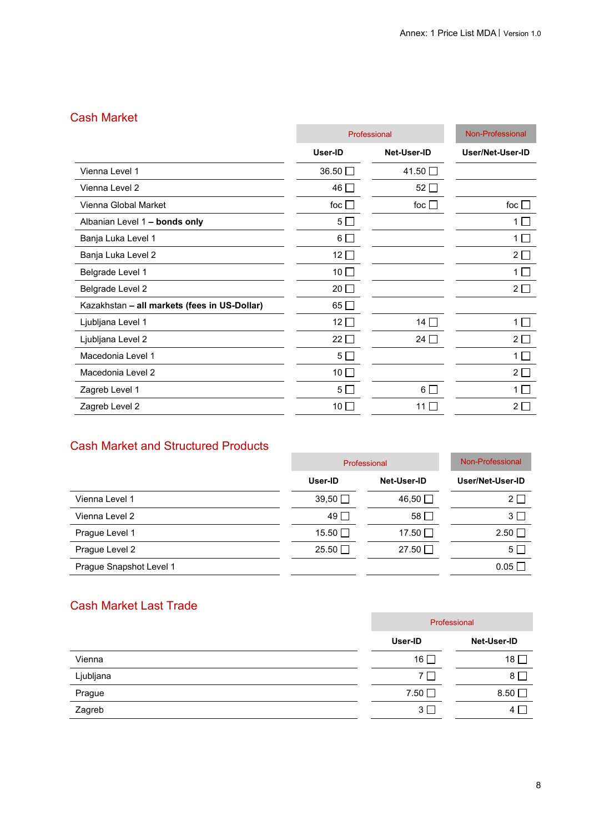## Cash Market

| odən ividinci                                |                 |               |                  |
|----------------------------------------------|-----------------|---------------|------------------|
|                                              |                 | Professional  |                  |
|                                              | User-ID         | Net-User-ID   | User/Net-User-ID |
| Vienna Level 1                               | $36.50$ $\Box$  | 41.50 □       |                  |
| Vienna Level 2                               | 46 □            | 52 $\square$  |                  |
| Vienna Global Market                         | foc $\square$   | foc $\square$ | foc $\square$    |
| Albanian Level 1 - bonds only                | $5\square$      |               | 1                |
| Banja Luka Level 1                           | $6\Box$         |               | $1\Box$          |
| Banja Luka Level 2                           | $12\Box$        |               | $2\square$       |
| Belgrade Level 1                             | $10\Box$        |               | $1\Box$          |
| Belgrade Level 2                             | $20$ $\Box$     |               | $2\square$       |
| Kazakhstan - all markets (fees in US-Dollar) | 65 □            |               |                  |
| Ljubljana Level 1                            | 12 $\square$    | 14 $\Box$     | $1\Box$          |
| Ljubljana Level 2                            | $22\square$     | 24 $\Box$     | $2\square$       |
| Macedonia Level 1                            | $5\square$      |               | $1\Box$          |
| Macedonia Level 2                            | $10\Box$        |               | $2\square$       |
| Zagreb Level 1                               | $5\Box$         | $6\Box$       | $1\Box$          |
| Zagreb Level 2                               | 10 <sup>1</sup> | 11 $\Box$     | $2\square$       |
|                                              |                 |               |                  |

## Cash Market and Structured Products

| Cash Market and Structured Froudcts |                |                  |                  |
|-------------------------------------|----------------|------------------|------------------|
|                                     | Professional   | Non-Professional |                  |
|                                     | User-ID        | Net-User-ID      | User/Net-User-ID |
| Vienna Level 1                      | $39,50$ $\Box$ | 46,50 $\Box$     | $2\Box$          |
| Vienna Level 2                      | $49$ $\Box$    | 58               | $3\Box$          |
| Prague Level 1                      | 15.50 □        | 17.50 □          | $2.50\Box$       |
| Prague Level 2                      | $25.50$ $\Box$ | 27.50            | $5\Box$          |
| Prague Snapshot Level 1             |                |                  | $0.05$ $\Box$    |

## Cash Market Last Trade

|           | Professional   |               |  |
|-----------|----------------|---------------|--|
|           | User-ID        | Net-User-ID   |  |
| Vienna    | 16 $\Box$      | $18\Box$      |  |
| Ljubljana | $7\Box$        | $8\Box$       |  |
| Prague    | $7.50$ $\Box$  | $8.50$ $\Box$ |  |
| Zagreb    | 3 <sup>2</sup> | 4             |  |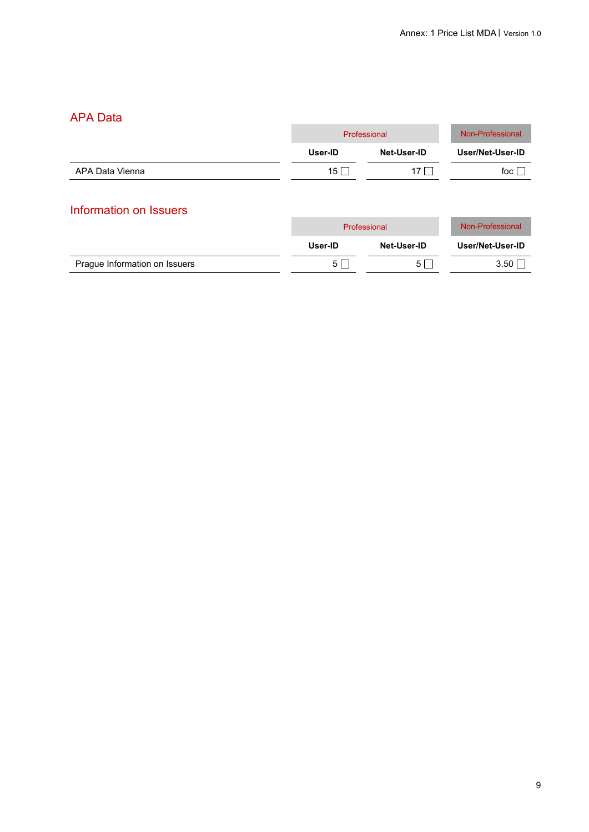## APA Data

| 1 11 1 1 Duw           |          |              |                  |  |
|------------------------|----------|--------------|------------------|--|
|                        |          | Professional |                  |  |
|                        | User-ID  | Net-User-ID  | User/Net-User-ID |  |
| APA Data Vienna        | $15\Box$ | 17 $\Box$    | foc $\Box$       |  |
| Information on Issuers |          |              |                  |  |
|                        |          | Professional | Non-Professional |  |

|                               | User-ID | Net-User-ID | User/Net-User-ID |
|-------------------------------|---------|-------------|------------------|
| Prague Information on Issuers |         |             | 3.50             |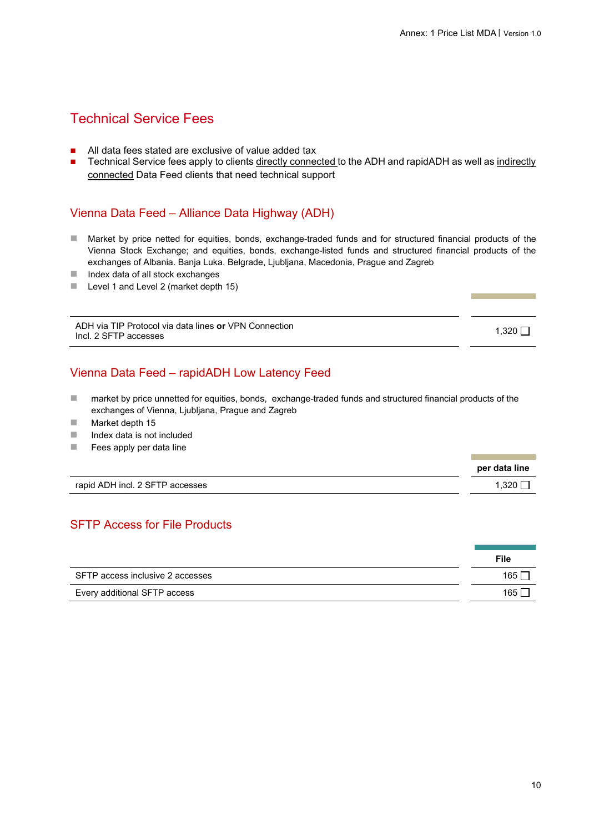## Technical Service Fees

- All data fees stated are exclusive of value added tax
- Technical Service fees apply to clients directly connected to the ADH and rapidADH as well as indirectly connected Data Feed clients that need technical support

### Vienna Data Feed – Alliance Data Highway (ADH)

- Market by price netted for equities, bonds, exchange-traded funds and for structured financial products of the Vienna Stock Exchange; and equities, bonds, exchange-listed funds and structured financial products of the exchanges of Albania. Banja Luka. Belgrade, Ljubljana, Macedonia, Prague and Zagreb
- $\blacksquare$  Index data of all stock exchanges
- **Level 1 and Level 2 (market depth 15)**

ADH via TIP Protocol via data lines **or** VPN Connection ADH VIA TIP Protocol via data lines **or** VPN Connection<br>
Incl. 2 SFTP accesses 1,320  $\Box$ 

### Vienna Data Feed – rapidADH Low Latency Feed

- market by price unnetted for equities, bonds, exchange-traded funds and structured financial products of the exchanges of Vienna, Liubliana, Prague and Zagreb
- **Market depth 15**
- $\blacksquare$  Index data is not included
- $\blacksquare$  Fees apply per data line

|                                 | per data line |
|---------------------------------|---------------|
| rapid ADH incl. 2 SFTP accesses | .320          |

### SFTP Access for File Products

|                                  | File  |
|----------------------------------|-------|
| SFTP access inclusive 2 accesses | 165 l |
| Every additional SFTP access     | 165 l |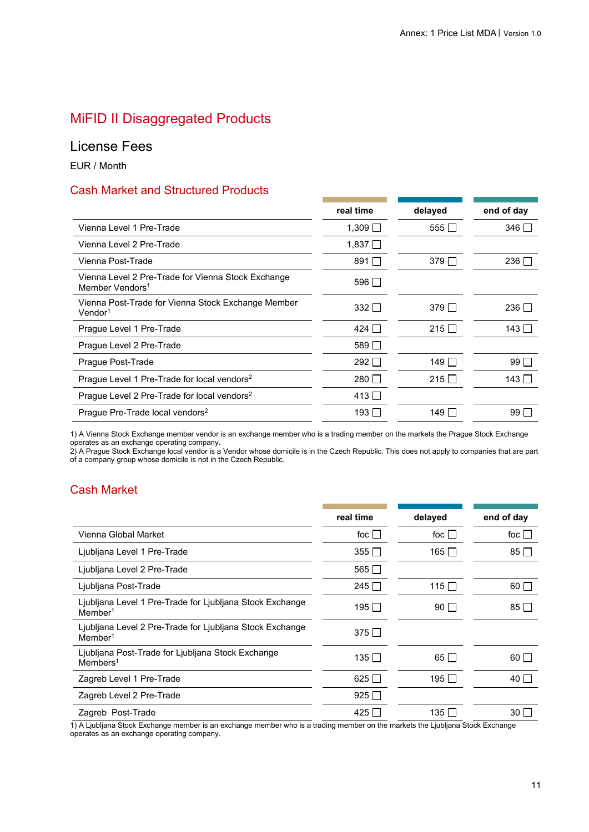## MiFID II Disaggregated Products

### License Fees

EUR / Month

### Cash Market and Structured Products

|                                                                                   | real time    | delayed      | end of day   |
|-----------------------------------------------------------------------------------|--------------|--------------|--------------|
| Vienna Level 1 Pre-Trade                                                          | 1,309 $\Box$ | 555 $\Box$   | $346$ $\Box$ |
| Vienna Level 2 Pre-Trade                                                          | 1,837 $\Box$ |              |              |
| Vienna Post-Trade                                                                 | 891 $\Box$   | 379 $\Box$   | $236\Box$    |
| Vienna Level 2 Pre-Trade for Vienna Stock Exchange<br>Member Vendors <sup>1</sup> | $596\Box$    |              |              |
| Vienna Post-Trade for Vienna Stock Exchange Member<br>$V$ endor <sup>1</sup>      | 332 $\Box$   | $379$ $\Box$ | 236 $\Box$   |
| Prague Level 1 Pre-Trade                                                          | 424   1      | $215\Box$    | $143 \Box$   |
| Prague Level 2 Pre-Trade                                                          | 589 N        |              |              |
| Prague Post-Trade                                                                 | 292 $\Box$   | 149 $\Box$   | $99\Box$     |
| Prague Level 1 Pre-Trade for local vendors <sup>2</sup>                           | $280$ $\Box$ | 215 $\Box$   | 143 $\Box$   |
| Prague Level 2 Pre-Trade for local vendors <sup>2</sup>                           | $413\Box$    |              |              |
| Prague Pre-Trade local vendors <sup>2</sup>                                       | 193 ∏        | 149 ∏        | $99\Box$     |
|                                                                                   |              |              |              |

1) A Vienna Stock Exchange member vendor is an exchange member who is a trading member on the markets the Prague Stock Exchange operates as an exchange operating company.

2) A Prague Stock Exchange local vendor is a Vendor whose domicile is in the Czech Republic. This does not apply to companies that are part of a company group whose domicile is not in the Czech Republic.

### Cash Market

|                                                                                    | real time    | delayed      | end of day          |
|------------------------------------------------------------------------------------|--------------|--------------|---------------------|
| Vienna Global Market                                                               | foc $\Box$   | foc $ $ $ $  | foc $\vert \ \vert$ |
| Ljubljana Level 1 Pre-Trade                                                        | $355$ $\Box$ | $165$ $\Box$ | $85\Box$            |
| Ljubljana Level 2 Pre-Trade                                                        | 565 $\Box$   |              |                     |
| Ljubljana Post-Trade                                                               | 245 $\Box$   | 115 $\Box$   | 60 I I              |
| Ljubljana Level 1 Pre-Trade for Ljubljana Stock Exchange<br>$M$ ember <sup>1</sup> | 195 ∏        | $90\Box$     | $85\Box$            |
| Ljubljana Level 2 Pre-Trade for Ljubljana Stock Exchange<br>$M$ ember <sup>1</sup> | $375\Box$    |              |                     |
| Ljubljana Post-Trade for Ljubljana Stock Exchange<br>$M$ embers <sup>1</sup>       | 135 ∏        | $65\Box$     | $60\Box$            |
| Zagreb Level 1 Pre-Trade                                                           | $625\Box$    | 195 $\Box$   | 40 $\Box$           |
| Zagreb Level 2 Pre-Trade                                                           | $925\Box$    |              |                     |
| Zagreb Post-Trade                                                                  | $425\Box$    | $135$ $\Box$ | $30$ $\Box$         |
|                                                                                    |              |              |                     |

1) A Ljubljana Stock Exchange member is an exchange member who is a trading member on the markets the Ljubljana Stock Exchange operates as an exchange operating company.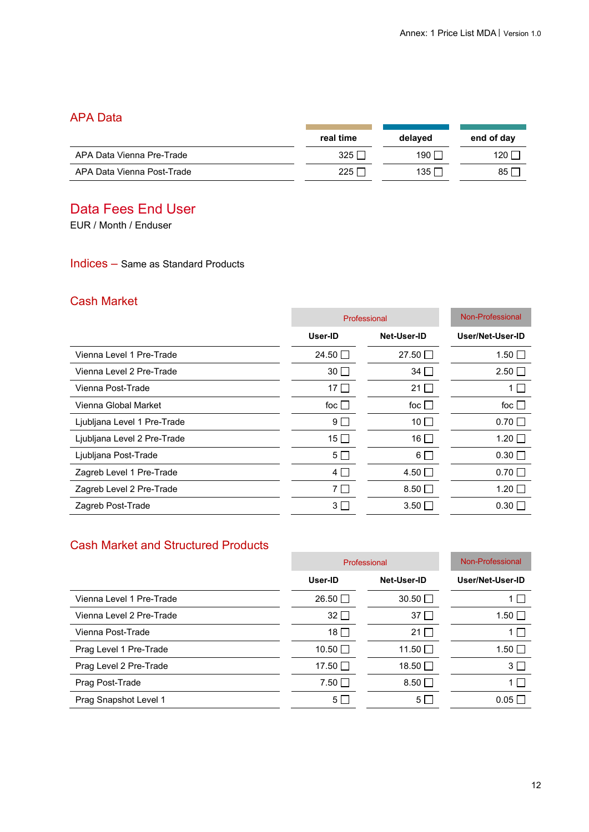### APA Data

| , , , , , , , ,            |           |              |                  |
|----------------------------|-----------|--------------|------------------|
|                            | real time | delayed      | end of day       |
| APA Data Vienna Pre-Trade  | 325       | 190 $\Gamma$ | 120 <sub>1</sub> |
| APA Data Vienna Post-Trade | 225 l     | 135 $\Gamma$ | 85 I             |

# Data Fees End User

EUR / Month / Enduser

#### Indices – Same as Standard Products

### Cash Market

|                             | Professional   |              | <b>Non-Professional</b> |
|-----------------------------|----------------|--------------|-------------------------|
|                             | User-ID        | Net-User-ID  | User/Net-User-ID        |
| Vienna Level 1 Pre-Trade    | 24.50 $\Box$   | 27.50 $\Box$ | $1.50\Box$              |
| Vienna Level 2 Pre-Trade    | $30\Box$       | $34\Box$     | $2.50\Box$              |
| Vienna Post-Trade           | 17 $\Box$      | 21 $\Box$    | 1                       |
| Vienna Global Market        | foc $\Box$     | foc $\Box$   | foc $\Box$              |
| Ljubljana Level 1 Pre-Trade | 9 <sub>1</sub> | $10$ $\Box$  | $0.70$ $\Box$           |
| Ljubljana Level 2 Pre-Trade | $15$ $\Box$    | 16 $\Box$    | $1.20$ $\Box$           |
| Ljubljana Post-Trade        | $5\Box$        | $6\Box$      | $0.30\Box$              |
| Zagreb Level 1 Pre-Trade    | $4\Box$        | $4.50\Box$   | $0.70$ $\Box$           |
| Zagreb Level 2 Pre-Trade    | $7\Box$        | $8.50\Box$   | 1.20 $\Box$             |
| Zagreb Post-Trade           | 3 <sub>1</sub> | $3.50\Box$   | $0.30\Box$              |

### Cash Market and Structured Products

| Professional   |                | Non-Professional |
|----------------|----------------|------------------|
| User-ID        | Net-User-ID    | User/Net-User-ID |
| $26.50$ $\Box$ | $30.50$ $\Box$ | 1                |
| $32\Box$       | $37\Box$       | 1.50 $\Box$      |
| $18\Box$       | 21 $\Box$      | 1                |
| $10.50$ $\Box$ | 11.50 $\Box$   | $1.50$ $\Box$    |
| 17.50 □        | 18.50 $\Box$   | 3 <sup>1</sup>   |
| $7.50$ $\Box$  | $8.50\Box$     | $1\Box$          |
| $5\Box$        | 5              | $0.05\Box$       |
|                |                |                  |